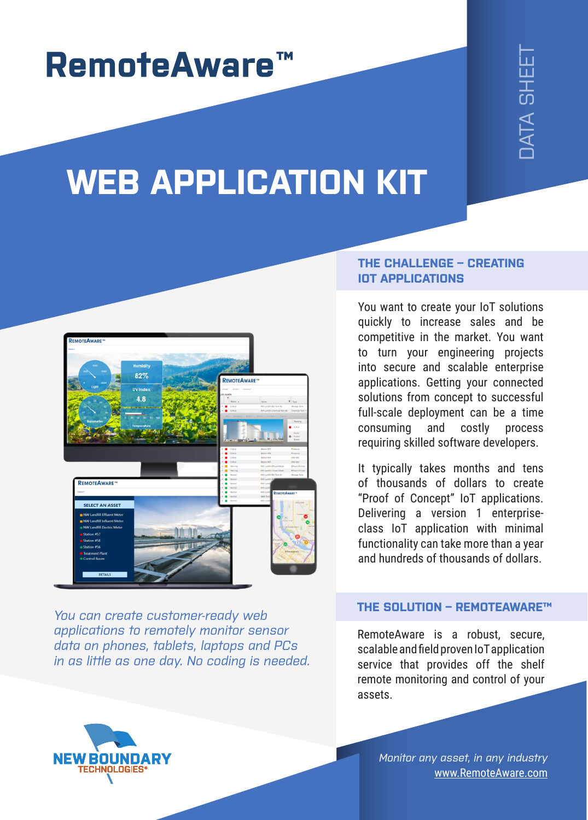## **RemoteAware™**

# JATA SHEE<sup>-</sup>

## **WEB APPLICATION KIT**



*You can create customer-ready web applications to remotely monitor sensor data on phones, tablets, laptops and PCs in as little as one day. No coding is needed.*

#### **THE CHALLENGE – CREATING IOT APPLICATIONS**

You want to create your IoT solutions quickly to increase sales and be competitive in the market. You want to turn your engineering projects into secure and scalable enterprise applications. Getting your connected solutions from concept to successful full-scale deployment can be a time consuming and costly process requiring skilled software developers. WHET CREATING<br>
WHET CONSIDE CREATING<br>
TOWER THE CREATING<br>
TOWER THE CREATING<br>
TOWER<br>
TOWER THE CREATING<br>
TOWER<br>
TOWER THE CREATING<br>
TOWER THE CREATING<br>
TOWER THE CREATING<br>
TOWER THE CREATING<br>
TOWER THE CREATING<br>
TOWER THE

It typically takes months and tens of thousands of dollars to create "Proof of Concept" IoT applications. Delivering a version 1 enterpriseclass IoT application with minimal functionality can take more than a year and hundreds of thousands of dollars.

#### **THE SOLUTION – REMOTEAWARE™**

RemoteAware is a robust, secure, scalable and field proven IoT application service that provides off the shelf remote monitoring and control of your assets.

**NEW BOUNDARY TECHNOLOGIES** 

*Monitor any asset, in any industry* www.RemoteAware.com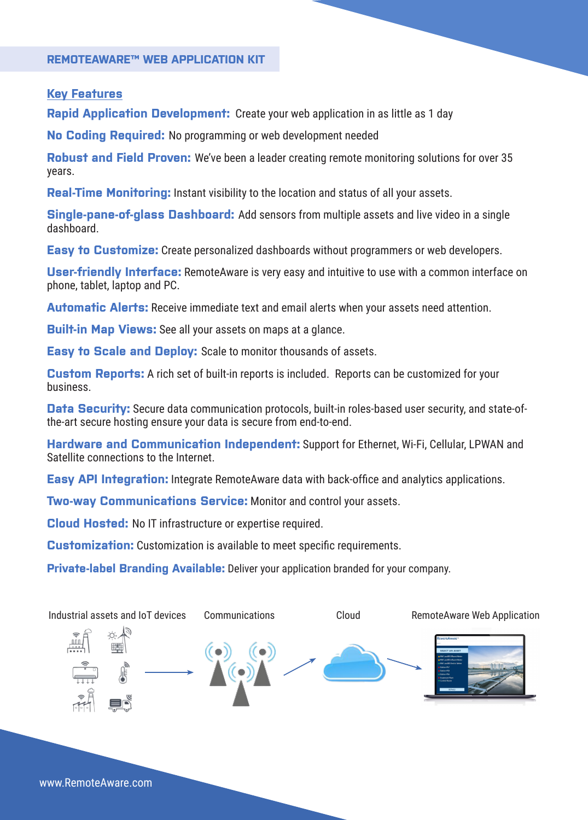#### **REMOTEAWARE™ WEB APPLICATION KIT**

#### **Key Features**

**Rapid Application Development:** Create your web application in as little as 1 day

**No Coding Required:** No programming or web development needed

**Robust and Field Proven:** We've been a leader creating remote monitoring solutions for over 35 years.

**Real-Time Monitoring:** Instant visibility to the location and status of all your assets.

**Single-pane-of-glass Dashboard:** Add sensors from multiple assets and live video in a single dashboard.

**Easy to Customize:** Create personalized dashboards without programmers or web developers.

**User-friendly Interface:** RemoteAware is very easy and intuitive to use with a common interface on phone, tablet, laptop and PC.

**Automatic Alerts:** Receive immediate text and email alerts when your assets need attention.

**Built-in Map Views:** See all your assets on maps at a glance.

**Easy to Scale and Deploy:** Scale to monitor thousands of assets.

**Custom Reports:** A rich set of built-in reports is included. Reports can be customized for your business.

**Data Security:** Secure data communication protocols, built-in roles-based user security, and state-ofthe-art secure hosting ensure your data is secure from end-to-end.

**Hardware and Communication Independent:** Support for Ethernet, Wi-Fi, Cellular, LPWAN and Satellite connections to the Internet.

**Easy API Integration:** Integrate RemoteAware data with back-office and analytics applications.

**Two-way Communications Service:** Monitor and control your assets.

**Cloud Hosted:** No IT infrastructure or expertise required.

**Customization:** Customization is available to meet specific requirements.

**Private-label Branding Available:** Deliver your application branded for your company.